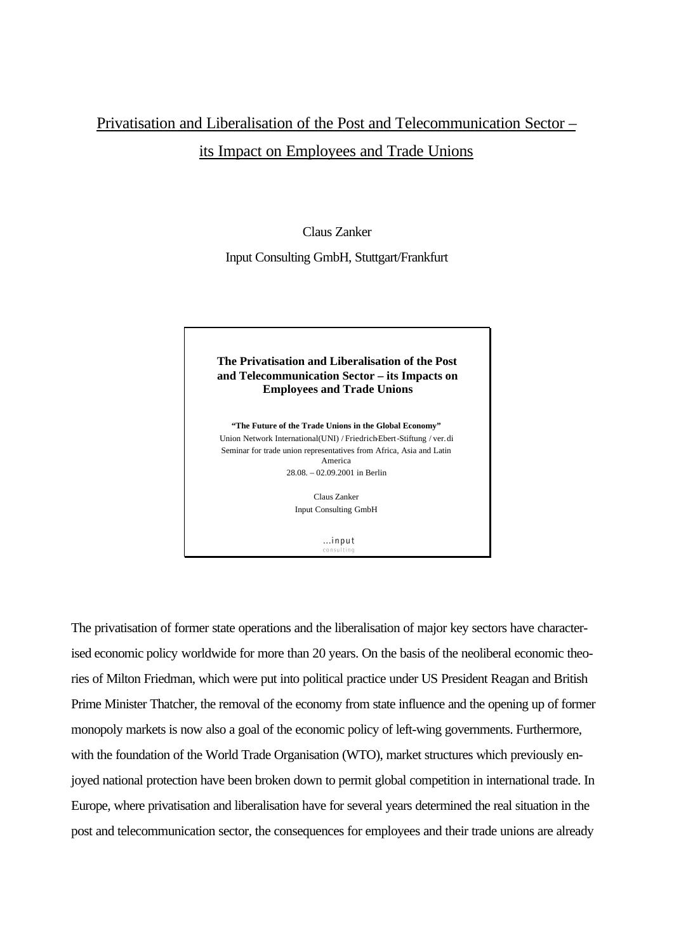## Privatisation and Liberalisation of the Post and Telecommunication Sector – its Impact on Employees and Trade Unions

Claus Zanker

Input Consulting GmbH, Stuttgart/Frankfurt

## **The Privatisation and Liberalisation of the Post and Telecommunication Sector – its Impacts on Employees and Trade Unions**

**"The Future of the Trade Unions in the Global Economy"** Union Network International(UNI) / Friedrich-Ebert-Stiftung / ver.di Seminar for trade union representatives from Africa, Asia and Latin America 28.08. – 02.09.2001 in Berlin

> Claus Zanker Input Consulting GmbH

> > $...$ input

The privatisation of former state operations and the liberalisation of major key sectors have characterised economic policy worldwide for more than 20 years. On the basis of the neoliberal economic theories of Milton Friedman, which were put into political practice under US President Reagan and British Prime Minister Thatcher, the removal of the economy from state influence and the opening up of former monopoly markets is now also a goal of the economic policy of left-wing governments. Furthermore, with the foundation of the World Trade Organisation (WTO), market structures which previously enjoyed national protection have been broken down to permit global competition in international trade. In Europe, where privatisation and liberalisation have for several years determined the real situation in the post and telecommunication sector, the consequences for employees and their trade unions are already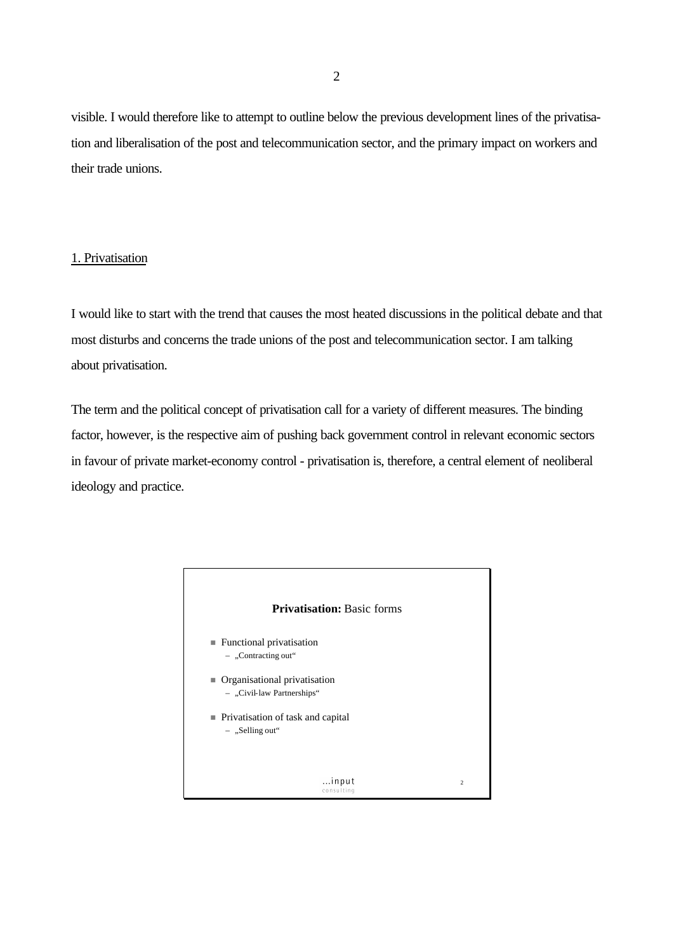visible. I would therefore like to attempt to outline below the previous development lines of the privatisation and liberalisation of the post and telecommunication sector, and the primary impact on workers and their trade unions.

## 1. Privatisation

I would like to start with the trend that causes the most heated discussions in the political debate and that most disturbs and concerns the trade unions of the post and telecommunication sector. I am talking about privatisation.

The term and the political concept of privatisation call for a variety of different measures. The binding factor, however, is the respective aim of pushing back government control in relevant economic sectors in favour of private market-economy control - privatisation is, therefore, a central element of neoliberal ideology and practice.

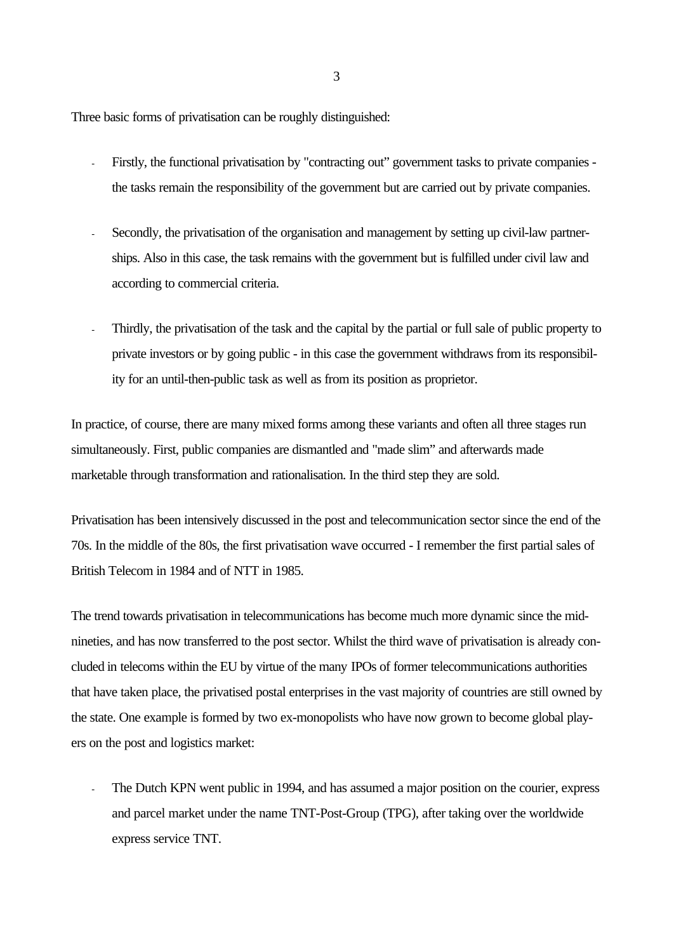Three basic forms of privatisation can be roughly distinguished:

- Firstly, the functional privatisation by "contracting out" government tasks to private companies the tasks remain the responsibility of the government but are carried out by private companies.
- Secondly, the privatisation of the organisation and management by setting up civil-law partnerships. Also in this case, the task remains with the government but is fulfilled under civil law and according to commercial criteria.
- Thirdly, the privatisation of the task and the capital by the partial or full sale of public property to private investors or by going public - in this case the government withdraws from its responsibility for an until-then-public task as well as from its position as proprietor.

In practice, of course, there are many mixed forms among these variants and often all three stages run simultaneously. First, public companies are dismantled and "made slim" and afterwards made marketable through transformation and rationalisation. In the third step they are sold.

Privatisation has been intensively discussed in the post and telecommunication sector since the end of the 70s. In the middle of the 80s, the first privatisation wave occurred - I remember the first partial sales of British Telecom in 1984 and of NTT in 1985.

The trend towards privatisation in telecommunications has become much more dynamic since the midnineties, and has now transferred to the post sector. Whilst the third wave of privatisation is already concluded in telecoms within the EU by virtue of the many IPOs of former telecommunications authorities that have taken place, the privatised postal enterprises in the vast majority of countries are still owned by the state. One example is formed by two ex-monopolists who have now grown to become global players on the post and logistics market:

The Dutch KPN went public in 1994, and has assumed a major position on the courier, express and parcel market under the name TNT-Post-Group (TPG), after taking over the worldwide express service TNT.

3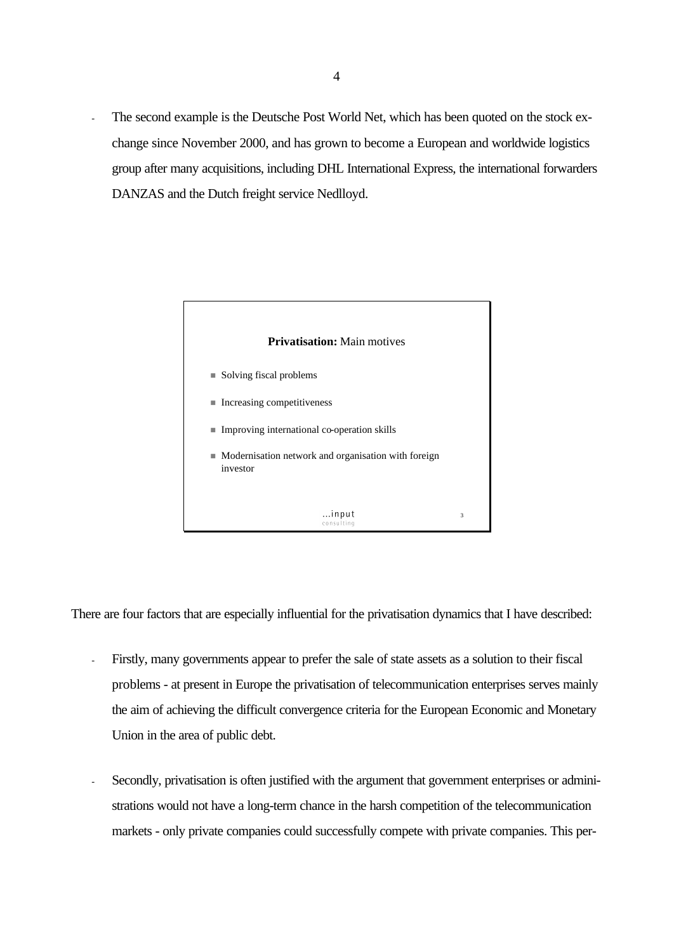The second example is the Deutsche Post World Net, which has been quoted on the stock exchange since November 2000, and has grown to become a European and worldwide logistics group after many acquisitions, including DHL International Express, the international forwarders DANZAS and the Dutch freight service Nedlloyd.



There are four factors that are especially influential for the privatisation dynamics that I have described:

- Firstly, many governments appear to prefer the sale of state assets as a solution to their fiscal problems - at present in Europe the privatisation of telecommunication enterprises serves mainly the aim of achieving the difficult convergence criteria for the European Economic and Monetary Union in the area of public debt.
- Secondly, privatisation is often justified with the argument that government enterprises or administrations would not have a long-term chance in the harsh competition of the telecommunication markets - only private companies could successfully compete with private companies. This per-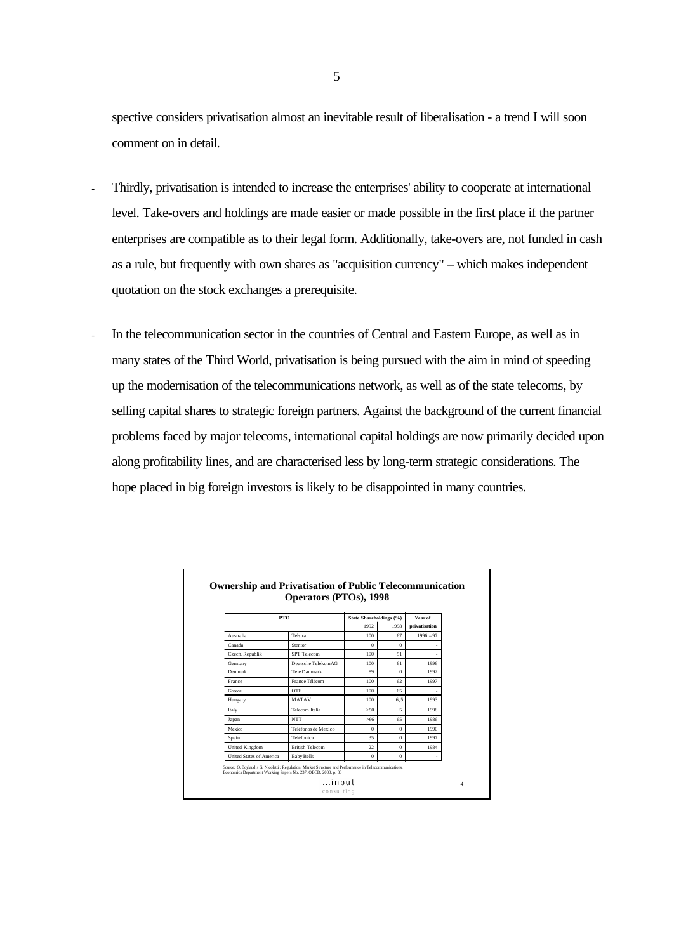spective considers privatisation almost an inevitable result of liberalisation - a trend I will soon comment on in detail.

- Thirdly, privatisation is intended to increase the enterprises' ability to cooperate at international level. Take-overs and holdings are made easier or made possible in the first place if the partner enterprises are compatible as to their legal form. Additionally, take-overs are, not funded in cash as a rule, but frequently with own shares as "acquisition currency" – which makes independent quotation on the stock exchanges a prerequisite.
- In the telecommunication sector in the countries of Central and Eastern Europe, as well as in many states of the Third World, privatisation is being pursued with the aim in mind of speeding up the modernisation of the telecommunications network, as well as of the state telecoms, by selling capital shares to strategic foreign partners. Against the background of the current financial problems faced by major telecoms, international capital holdings are now primarily decided upon along profitability lines, and are characterised less by long-term strategic considerations. The hope placed in big foreign investors is likely to be disappointed in many countries.

| <b>PTO</b>               |                        | State Shareholdings (%) |              | Year of       |  |
|--------------------------|------------------------|-------------------------|--------------|---------------|--|
|                          |                        | 1992                    | 1998         | privatisation |  |
| Australia                | Telstra                | 100                     | 67           | $1996 - 97$   |  |
| Canada                   | Stentor                | $\theta$                | $\bf{0}$     |               |  |
| Czech. Republik          | SPT Telecom            | 100                     | 51           |               |  |
| Germany                  | Deutsche TelekomAG     | 100                     | 61           | 1996          |  |
| Denmark                  | Tele Danmark           | 89                      | $\Omega$     | 1992          |  |
| France                   | France Télécom         | 100                     | 62           | 1997          |  |
| Greece                   | OTE.                   | 100                     | 65           |               |  |
| Hungary                  | MÁTÁV                  | 100                     | 6.5          | 1993          |  |
| Italy                    | Telecom Italia         | >50                     | 5            | 1998          |  |
| Japan                    | <b>NTT</b>             | >66                     | 65           | 1986          |  |
| Mexico                   | Téléfonos de Mexico    | $\Omega$                | $\theta$     | 1990          |  |
| Spain                    | <b>Téléfonica</b>      | 35                      | $\Omega$     | 1997          |  |
| <b>United Kingdom</b>    | <b>British Telecom</b> | 22                      | $\mathbf{0}$ | 1984          |  |
| United States of America | <b>Baby Bells</b>      | $\bf{0}$                | $\bf{0}$     |               |  |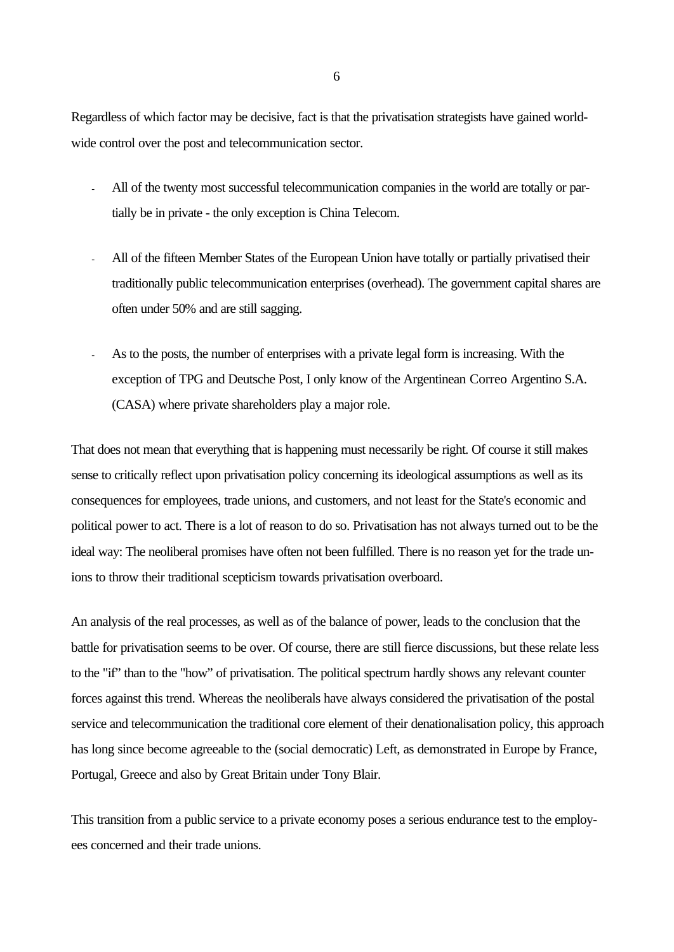Regardless of which factor may be decisive, fact is that the privatisation strategists have gained worldwide control over the post and telecommunication sector.

- All of the twenty most successful telecommunication companies in the world are totally or partially be in private - the only exception is China Telecom.
- All of the fifteen Member States of the European Union have totally or partially privatised their traditionally public telecommunication enterprises (overhead). The government capital shares are often under 50% and are still sagging.
- As to the posts, the number of enterprises with a private legal form is increasing. With the exception of TPG and Deutsche Post, I only know of the Argentinean Correo Argentino S.A. (CASA) where private shareholders play a major role.

That does not mean that everything that is happening must necessarily be right. Of course it still makes sense to critically reflect upon privatisation policy concerning its ideological assumptions as well as its consequences for employees, trade unions, and customers, and not least for the State's economic and political power to act. There is a lot of reason to do so. Privatisation has not always turned out to be the ideal way: The neoliberal promises have often not been fulfilled. There is no reason yet for the trade unions to throw their traditional scepticism towards privatisation overboard.

An analysis of the real processes, as well as of the balance of power, leads to the conclusion that the battle for privatisation seems to be over. Of course, there are still fierce discussions, but these relate less to the "if" than to the "how" of privatisation. The political spectrum hardly shows any relevant counter forces against this trend. Whereas the neoliberals have always considered the privatisation of the postal service and telecommunication the traditional core element of their denationalisation policy, this approach has long since become agreeable to the (social democratic) Left, as demonstrated in Europe by France, Portugal, Greece and also by Great Britain under Tony Blair.

This transition from a public service to a private economy poses a serious endurance test to the employees concerned and their trade unions.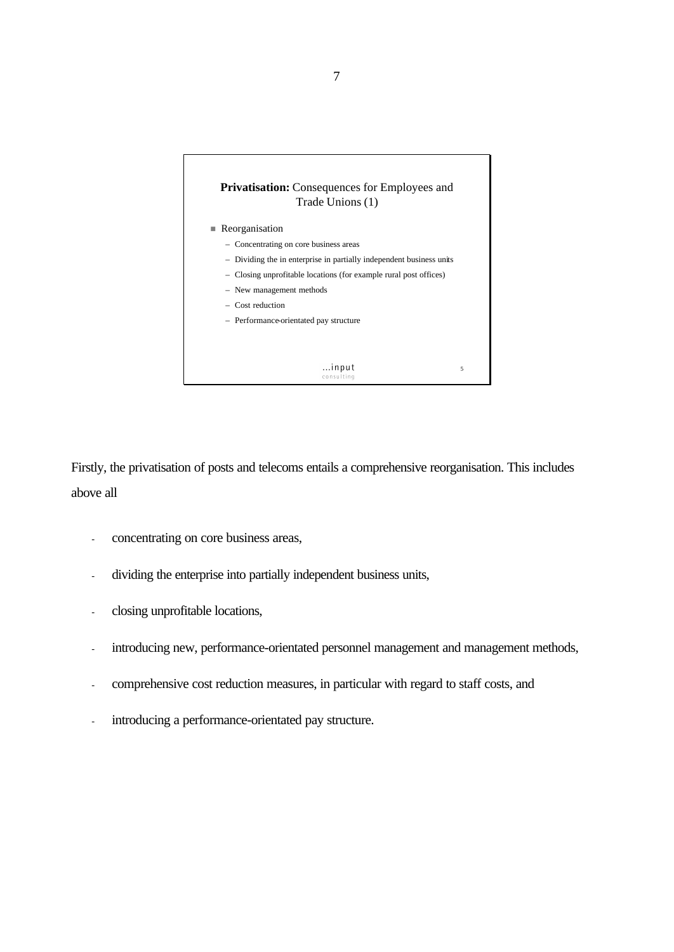

Firstly, the privatisation of posts and telecoms entails a comprehensive reorganisation. This includes above all

- concentrating on core business areas,
- dividing the enterprise into partially independent business units,
- closing unprofitable locations,
- introducing new, performance-orientated personnel management and management methods,
- comprehensive cost reduction measures, in particular with regard to staff costs, and
- introducing a performance-orientated pay structure.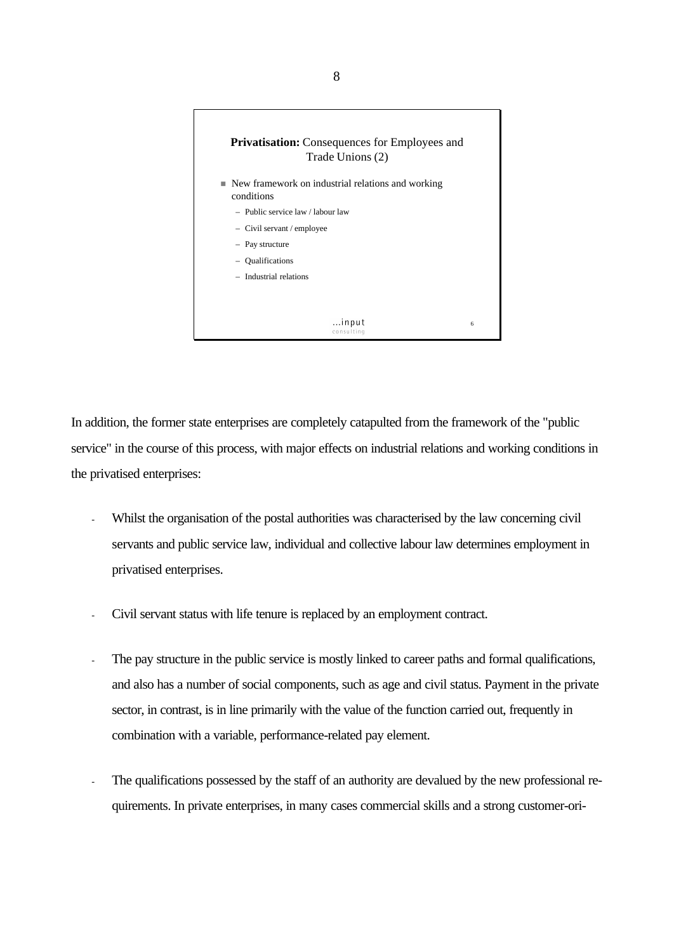

In addition, the former state enterprises are completely catapulted from the framework of the "public service" in the course of this process, with major effects on industrial relations and working conditions in the privatised enterprises:

- Whilst the organisation of the postal authorities was characterised by the law concerning civil servants and public service law, individual and collective labour law determines employment in privatised enterprises.
- Civil servant status with life tenure is replaced by an employment contract.
- The pay structure in the public service is mostly linked to career paths and formal qualifications, and also has a number of social components, such as age and civil status. Payment in the private sector, in contrast, is in line primarily with the value of the function carried out, frequently in combination with a variable, performance-related pay element.
- The qualifications possessed by the staff of an authority are devalued by the new professional requirements. In private enterprises, in many cases commercial skills and a strong customer-ori-

8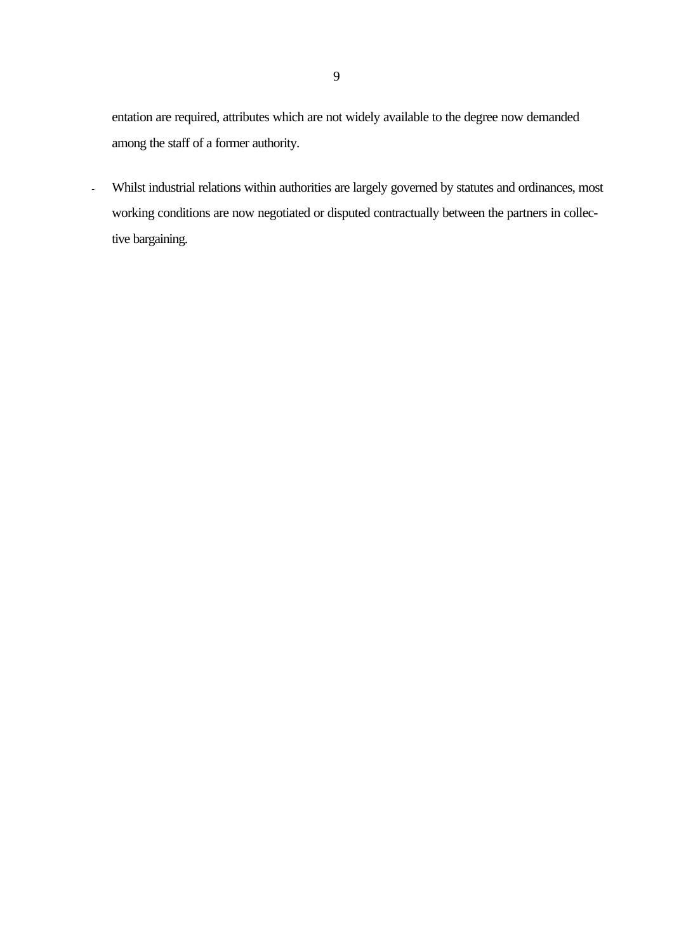entation are required, attributes which are not widely available to the degree now demanded among the staff of a former authority.

- Whilst industrial relations within authorities are largely governed by statutes and ordinances, most working conditions are now negotiated or disputed contractually between the partners in collective bargaining.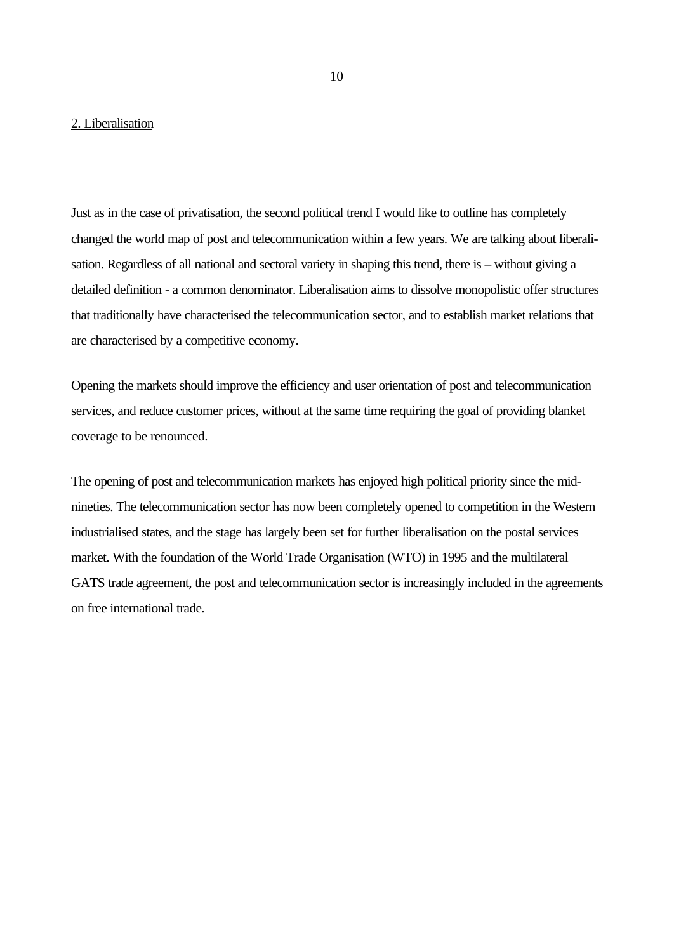## 2. Liberalisation

Just as in the case of privatisation, the second political trend I would like to outline has completely changed the world map of post and telecommunication within a few years. We are talking about liberalisation. Regardless of all national and sectoral variety in shaping this trend, there is – without giving a detailed definition - a common denominator. Liberalisation aims to dissolve monopolistic offer structures that traditionally have characterised the telecommunication sector, and to establish market relations that are characterised by a competitive economy.

Opening the markets should improve the efficiency and user orientation of post and telecommunication services, and reduce customer prices, without at the same time requiring the goal of providing blanket coverage to be renounced.

The opening of post and telecommunication markets has enjoyed high political priority since the midnineties. The telecommunication sector has now been completely opened to competition in the Western industrialised states, and the stage has largely been set for further liberalisation on the postal services market. With the foundation of the World Trade Organisation (WTO) in 1995 and the multilateral GATS trade agreement, the post and telecommunication sector is increasingly included in the agreements on free international trade.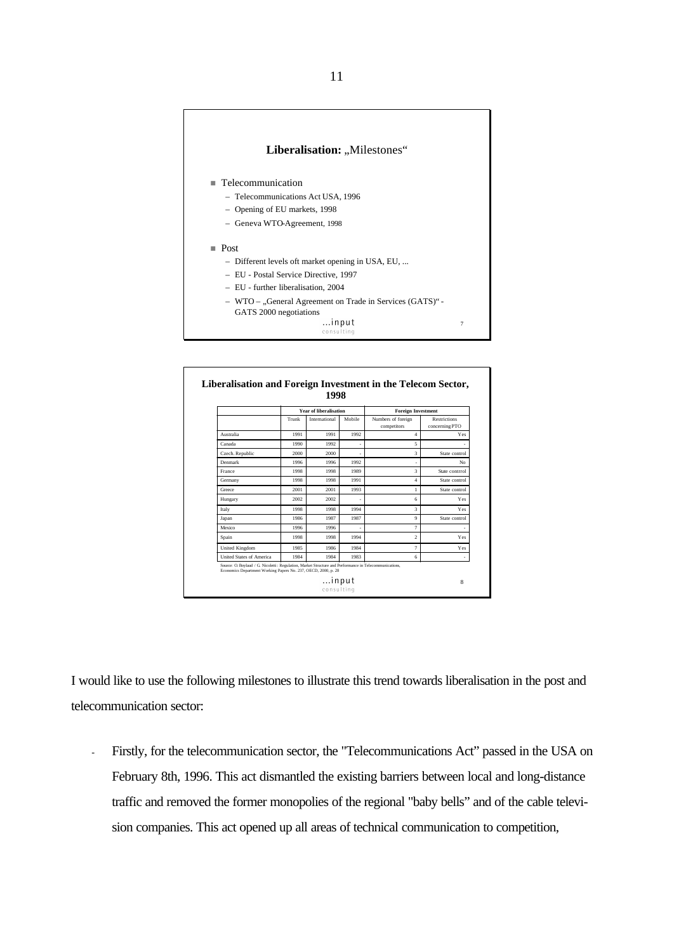

|                          | <b>Year of liberalisation</b> |               |        | <b>Foreign Investment</b>         |                                       |  |
|--------------------------|-------------------------------|---------------|--------|-----------------------------------|---------------------------------------|--|
|                          | Trunk                         | International | Mobile | Numbers of foreign<br>competitors | <b>Restrictions</b><br>concerning PTO |  |
| Australia                | 1991                          | 1991          | 1992   | $\overline{4}$                    | Yes                                   |  |
| Canada                   | 1990                          | 1992          |        | 5                                 |                                       |  |
| Czech. Republic          | 2000                          | 2000          | ٠      | 3                                 | State control                         |  |
| Denmark                  | 1996                          | 1996          | 1992   |                                   | No.                                   |  |
| France                   | 1998                          | 1998          | 1989   | 3                                 | State contrrol                        |  |
| Germany                  | 1998                          | 1998          | 1991   | $\overline{4}$                    | State control                         |  |
| Greece                   | 2001                          | 2001          | 1993   | 1                                 | State control                         |  |
| Hungary                  | 2002                          | 2002          | ٠      | 6                                 | Yes                                   |  |
| Italy                    | 1998                          | 1998          | 1994   | 3                                 | Yes                                   |  |
| Japan                    | 1986                          | 1987          | 1987   | 9                                 | State control                         |  |
| Mexico                   | 1996                          | 1996          |        | $\overline{7}$                    |                                       |  |
| Spain                    | 1998                          | 1998          | 1994   | $\overline{2}$                    | Yes                                   |  |
| <b>United Kingdom</b>    | 1985                          | 1986          | 1984   | $\overline{7}$                    | Yes                                   |  |
| United States of America | 1984                          | 1984          | 1983   | 6                                 |                                       |  |

I would like to use the following milestones to illustrate this trend towards liberalisation in the post and telecommunication sector:

- Firstly, for the telecommunication sector, the "Telecommunications Act" passed in the USA on February 8th, 1996. This act dismantled the existing barriers between local and long-distance traffic and removed the former monopolies of the regional "baby bells" and of the cable television companies. This act opened up all areas of technical communication to competition,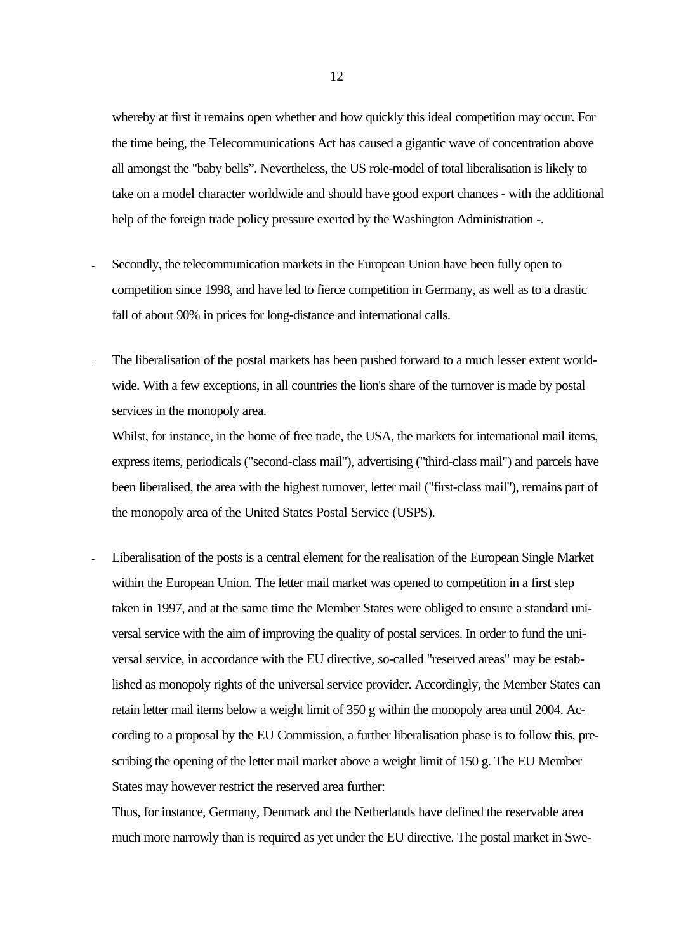whereby at first it remains open whether and how quickly this ideal competition may occur. For the time being, the Telecommunications Act has caused a gigantic wave of concentration above all amongst the "baby bells". Nevertheless, the US role-model of total liberalisation is likely to take on a model character worldwide and should have good export chances - with the additional help of the foreign trade policy pressure exerted by the Washington Administration -.

- Secondly, the telecommunication markets in the European Union have been fully open to competition since 1998, and have led to fierce competition in Germany, as well as to a drastic fall of about 90% in prices for long-distance and international calls.
- The liberalisation of the postal markets has been pushed forward to a much lesser extent worldwide. With a few exceptions, in all countries the lion's share of the turnover is made by postal services in the monopoly area.

Whilst, for instance, in the home of free trade, the USA, the markets for international mail items, express items, periodicals ("second-class mail"), advertising ("third-class mail") and parcels have been liberalised, the area with the highest turnover, letter mail ("first-class mail"), remains part of the monopoly area of the United States Postal Service (USPS).

Liberalisation of the posts is a central element for the realisation of the European Single Market within the European Union. The letter mail market was opened to competition in a first step taken in 1997, and at the same time the Member States were obliged to ensure a standard universal service with the aim of improving the quality of postal services. In order to fund the universal service, in accordance with the EU directive, so-called "reserved areas" may be established as monopoly rights of the universal service provider. Accordingly, the Member States can retain letter mail items below a weight limit of 350 g within the monopoly area until 2004. According to a proposal by the EU Commission, a further liberalisation phase is to follow this, prescribing the opening of the letter mail market above a weight limit of 150 g. The EU Member States may however restrict the reserved area further:

Thus, for instance, Germany, Denmark and the Netherlands have defined the reservable area much more narrowly than is required as yet under the EU directive. The postal market in Swe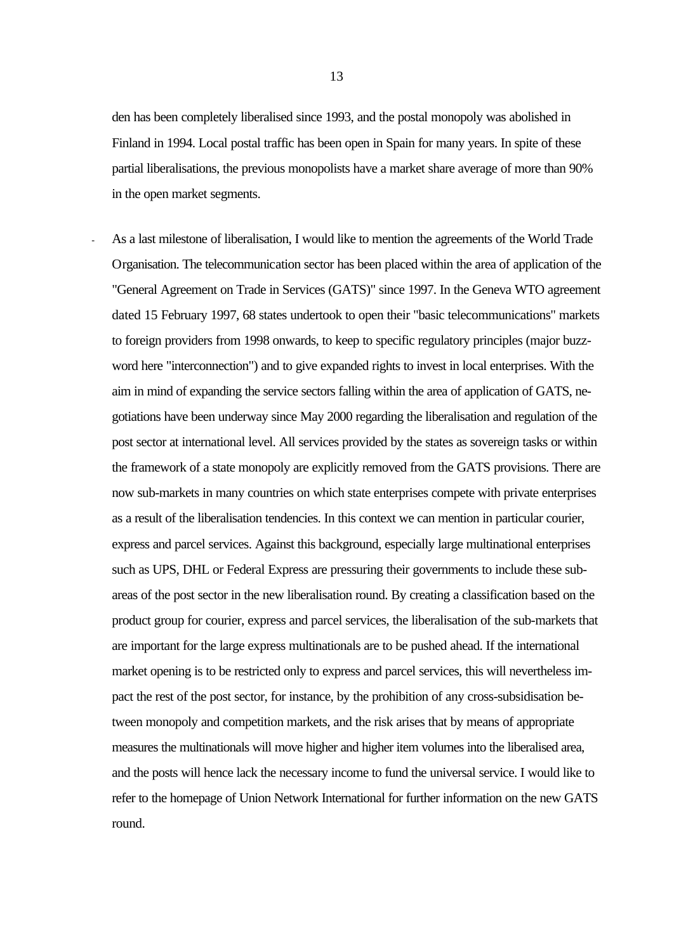den has been completely liberalised since 1993, and the postal monopoly was abolished in Finland in 1994. Local postal traffic has been open in Spain for many years. In spite of these partial liberalisations, the previous monopolists have a market share average of more than 90% in the open market segments.

As a last milestone of liberalisation, I would like to mention the agreements of the World Trade Organisation. The telecommunication sector has been placed within the area of application of the "General Agreement on Trade in Services (GATS)" since 1997. In the Geneva WTO agreement dated 15 February 1997, 68 states undertook to open their "basic telecommunications" markets to foreign providers from 1998 onwards, to keep to specific regulatory principles (major buzzword here "interconnection") and to give expanded rights to invest in local enterprises. With the aim in mind of expanding the service sectors falling within the area of application of GATS, negotiations have been underway since May 2000 regarding the liberalisation and regulation of the post sector at international level. All services provided by the states as sovereign tasks or within the framework of a state monopoly are explicitly removed from the GATS provisions. There are now sub-markets in many countries on which state enterprises compete with private enterprises as a result of the liberalisation tendencies. In this context we can mention in particular courier, express and parcel services. Against this background, especially large multinational enterprises such as UPS, DHL or Federal Express are pressuring their governments to include these subareas of the post sector in the new liberalisation round. By creating a classification based on the product group for courier, express and parcel services, the liberalisation of the sub-markets that are important for the large express multinationals are to be pushed ahead. If the international market opening is to be restricted only to express and parcel services, this will nevertheless impact the rest of the post sector, for instance, by the prohibition of any cross-subsidisation between monopoly and competition markets, and the risk arises that by means of appropriate measures the multinationals will move higher and higher item volumes into the liberalised area, and the posts will hence lack the necessary income to fund the universal service. I would like to refer to the homepage of Union Network International for further information on the new GATS round.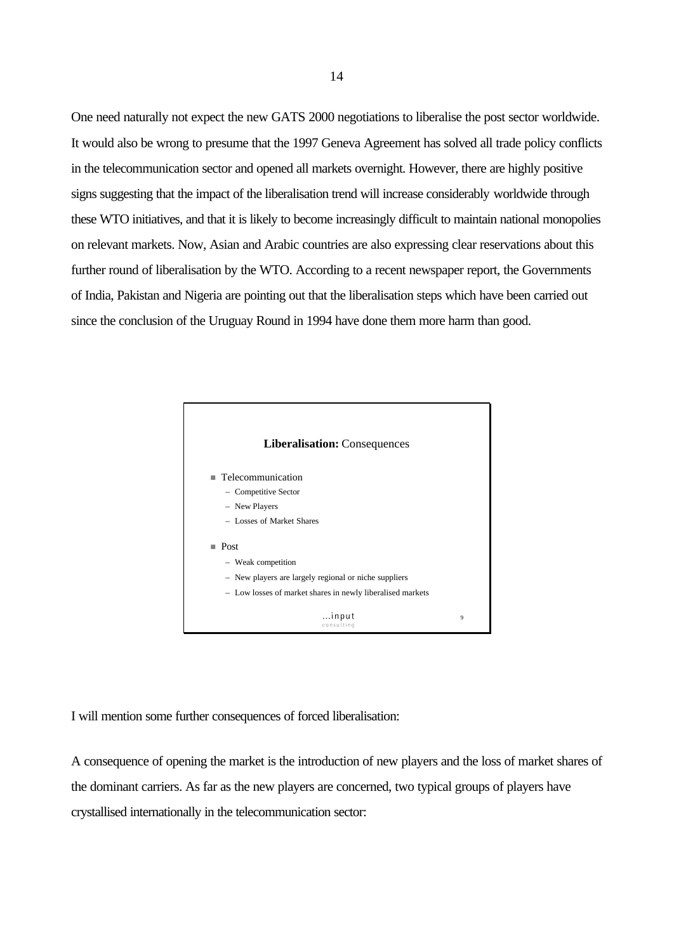One need naturally not expect the new GATS 2000 negotiations to liberalise the post sector worldwide. It would also be wrong to presume that the 1997 Geneva Agreement has solved all trade policy conflicts in the telecommunication sector and opened all markets overnight. However, there are highly positive signs suggesting that the impact of the liberalisation trend will increase considerably worldwide through these WTO initiatives, and that it is likely to become increasingly difficult to maintain national monopolies on relevant markets. Now, Asian and Arabic countries are also expressing clear reservations about this further round of liberalisation by the WTO. According to a recent newspaper report, the Governments of India, Pakistan and Nigeria are pointing out that the liberalisation steps which have been carried out since the conclusion of the Uruguay Round in 1994 have done them more harm than good.



I will mention some further consequences of forced liberalisation:

A consequence of opening the market is the introduction of new players and the loss of market shares of the dominant carriers. As far as the new players are concerned, two typical groups of players have crystallised internationally in the telecommunication sector: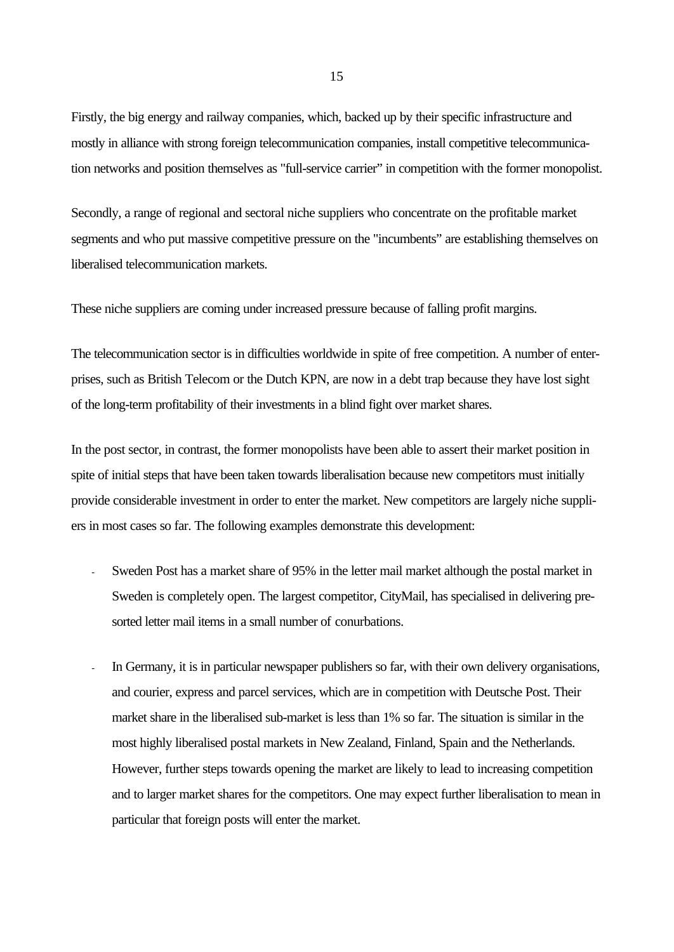Firstly, the big energy and railway companies, which, backed up by their specific infrastructure and mostly in alliance with strong foreign telecommunication companies, install competitive telecommunication networks and position themselves as "full-service carrier" in competition with the former monopolist.

Secondly, a range of regional and sectoral niche suppliers who concentrate on the profitable market segments and who put massive competitive pressure on the "incumbents" are establishing themselves on liberalised telecommunication markets.

These niche suppliers are coming under increased pressure because of falling profit margins.

The telecommunication sector is in difficulties worldwide in spite of free competition. A number of enterprises, such as British Telecom or the Dutch KPN, are now in a debt trap because they have lost sight of the long-term profitability of their investments in a blind fight over market shares.

In the post sector, in contrast, the former monopolists have been able to assert their market position in spite of initial steps that have been taken towards liberalisation because new competitors must initially provide considerable investment in order to enter the market. New competitors are largely niche suppliers in most cases so far. The following examples demonstrate this development:

- Sweden Post has a market share of 95% in the letter mail market although the postal market in Sweden is completely open. The largest competitor, CityMail, has specialised in delivering presorted letter mail items in a small number of conurbations.
- In Germany, it is in particular newspaper publishers so far, with their own delivery organisations, and courier, express and parcel services, which are in competition with Deutsche Post. Their market share in the liberalised sub-market is less than 1% so far. The situation is similar in the most highly liberalised postal markets in New Zealand, Finland, Spain and the Netherlands. However, further steps towards opening the market are likely to lead to increasing competition and to larger market shares for the competitors. One may expect further liberalisation to mean in particular that foreign posts will enter the market.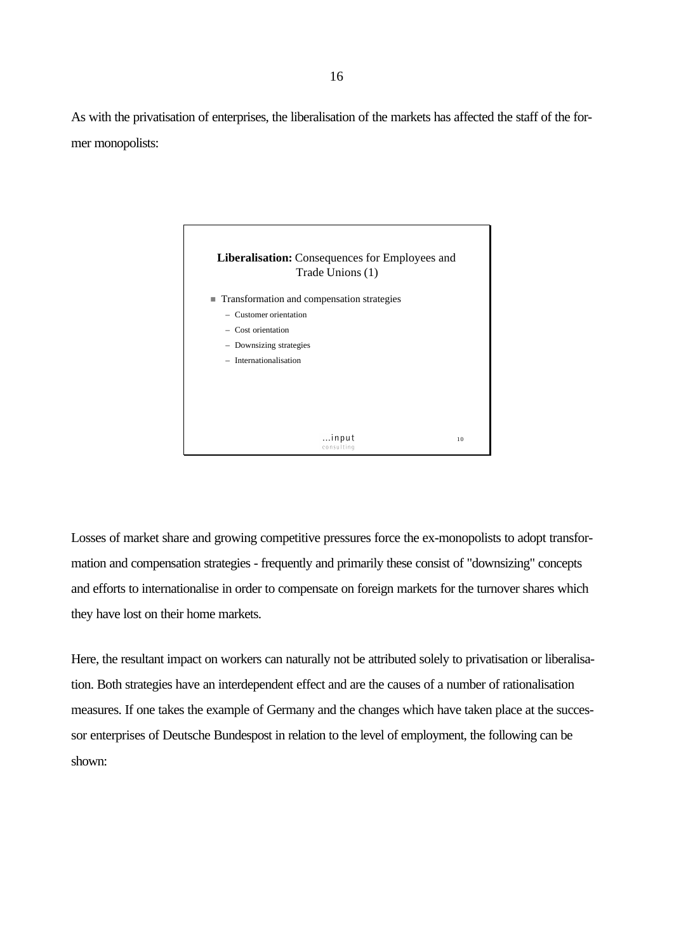As with the privatisation of enterprises, the liberalisation of the markets has affected the staff of the former monopolists:



Losses of market share and growing competitive pressures force the ex-monopolists to adopt transformation and compensation strategies - frequently and primarily these consist of "downsizing" concepts and efforts to internationalise in order to compensate on foreign markets for the turnover shares which they have lost on their home markets.

Here, the resultant impact on workers can naturally not be attributed solely to privatisation or liberalisation. Both strategies have an interdependent effect and are the causes of a number of rationalisation measures. If one takes the example of Germany and the changes which have taken place at the successor enterprises of Deutsche Bundespost in relation to the level of employment, the following can be shown: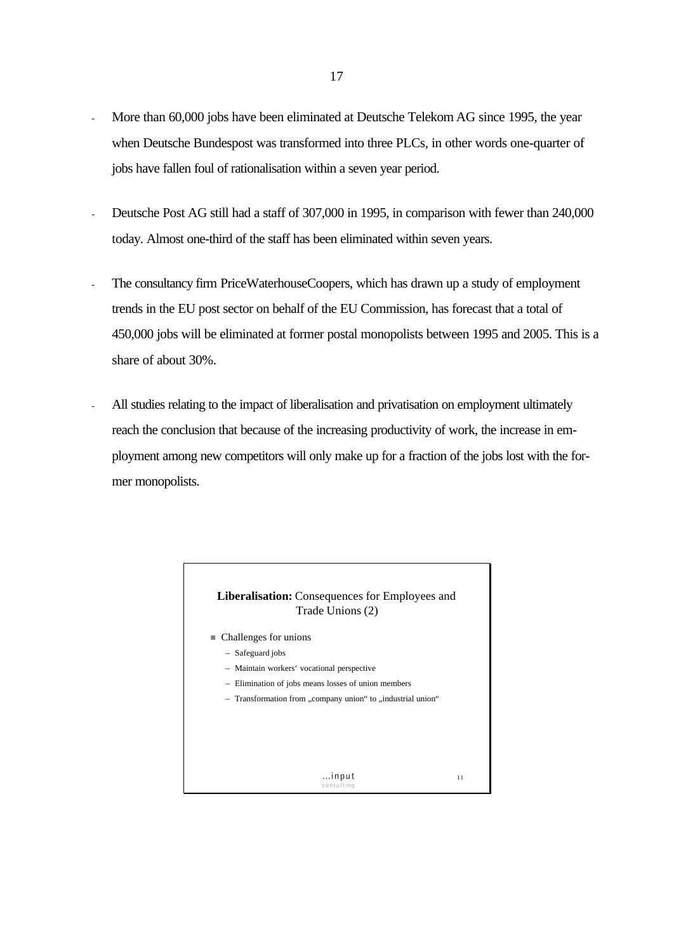- More than 60,000 jobs have been eliminated at Deutsche Telekom AG since 1995, the year when Deutsche Bundespost was transformed into three PLCs, in other words one-quarter of jobs have fallen foul of rationalisation within a seven year period.
- Deutsche Post AG still had a staff of 307,000 in 1995, in comparison with fewer than 240,000 today. Almost one-third of the staff has been eliminated within seven years.
- The consultancy firm PriceWaterhouseCoopers, which has drawn up a study of employment trends in the EU post sector on behalf of the EU Commission, has forecast that a total of 450,000 jobs will be eliminated at former postal monopolists between 1995 and 2005. This is a share of about 30%.
- All studies relating to the impact of liberalisation and privatisation on employment ultimately reach the conclusion that because of the increasing productivity of work, the increase in employment among new competitors will only make up for a fraction of the jobs lost with the former monopolists.

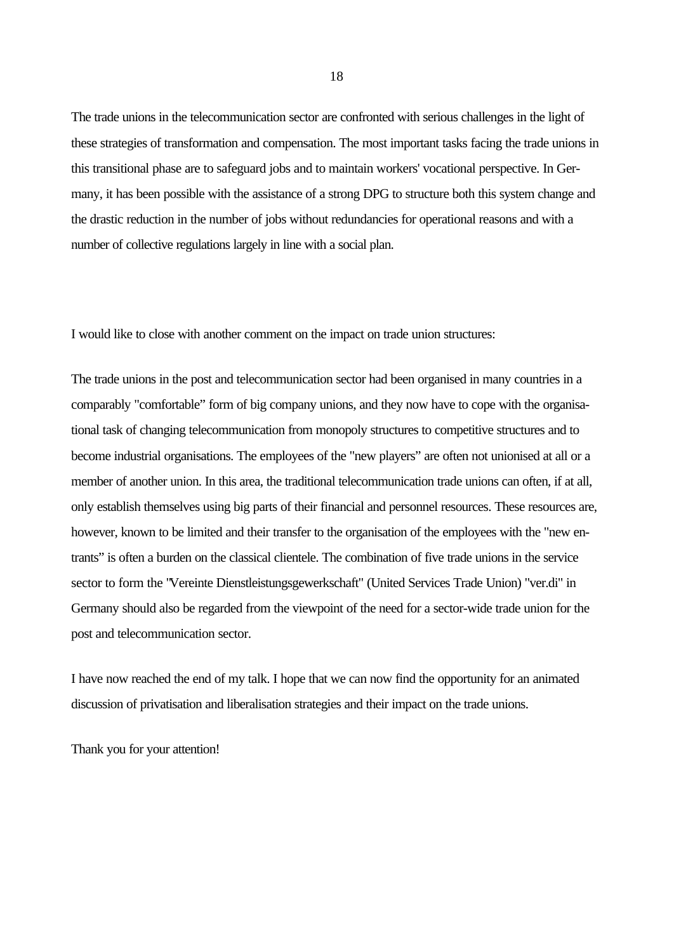The trade unions in the telecommunication sector are confronted with serious challenges in the light of these strategies of transformation and compensation. The most important tasks facing the trade unions in this transitional phase are to safeguard jobs and to maintain workers' vocational perspective. In Germany, it has been possible with the assistance of a strong DPG to structure both this system change and the drastic reduction in the number of jobs without redundancies for operational reasons and with a number of collective regulations largely in line with a social plan.

I would like to close with another comment on the impact on trade union structures:

The trade unions in the post and telecommunication sector had been organised in many countries in a comparably "comfortable" form of big company unions, and they now have to cope with the organisational task of changing telecommunication from monopoly structures to competitive structures and to become industrial organisations. The employees of the "new players" are often not unionised at all or a member of another union. In this area, the traditional telecommunication trade unions can often, if at all, only establish themselves using big parts of their financial and personnel resources. These resources are, however, known to be limited and their transfer to the organisation of the employees with the "new entrants" is often a burden on the classical clientele. The combination of five trade unions in the service sector to form the "Vereinte Dienstleistungsgewerkschaft" (United Services Trade Union) "ver.di" in Germany should also be regarded from the viewpoint of the need for a sector-wide trade union for the post and telecommunication sector.

I have now reached the end of my talk. I hope that we can now find the opportunity for an animated discussion of privatisation and liberalisation strategies and their impact on the trade unions.

Thank you for your attention!

18